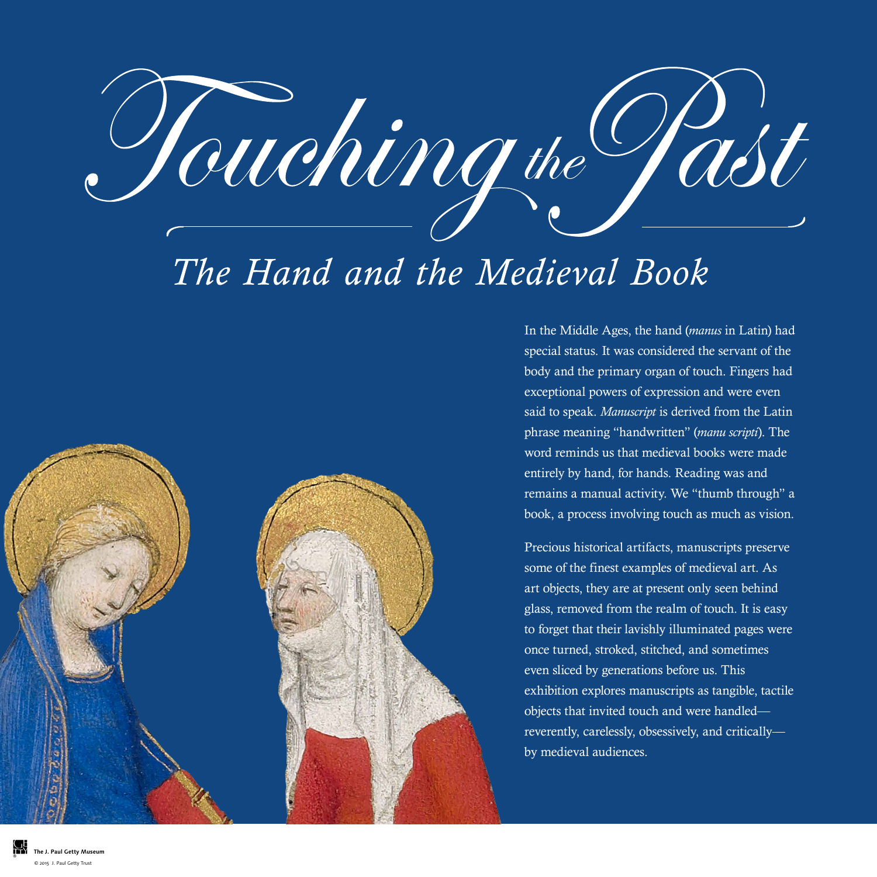

## The Hand and the Medieval Book

In the Middle Ages, the hand (*manus* in Latin) had special status. It was considered the servant of the



body and the primary organ of touch. Fingers had exceptional powers of expression and were even said to speak. *Manuscript* is derived from the Latin phrase meaning "handwritten" (*manu scripti*). The word reminds us that medieval books were made entirely by hand, for hands. Reading was and remains a manual activity. We "thumb through" a book, a process involving touch as much as vision.

Precious historical artifacts, manuscripts preserve some of the finest examples of medieval art. As art objects, they are at present only seen behind glass, removed from the realm of touch. It is easy to forget that their lavishly illuminated pages were once turned, stroked, stitched, and sometimes even sliced by generations before us. This exhibition explores manuscripts as tangible, tactile objects that invited touch and were handled—



by medieval audiences.

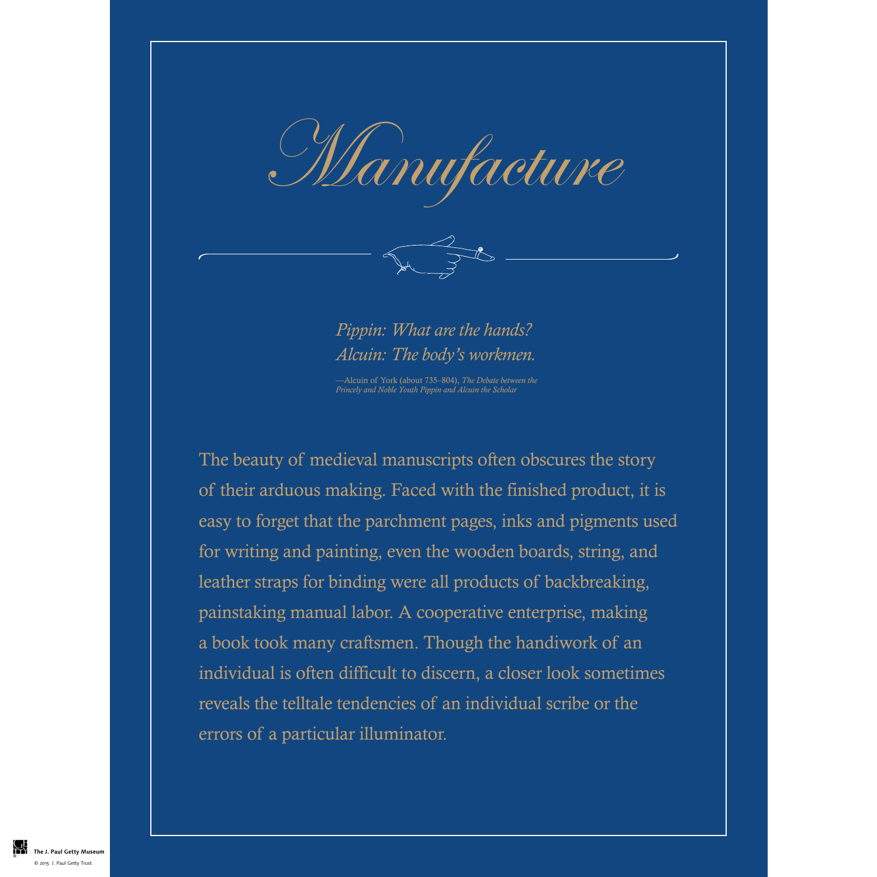The beauty of medieval manuscripts often obscures the story of their arduous making. Faced with the finished product, it is easy to forget that the parchment pages, inks and pigments used for writing and painting, even the wooden boards, string, and leather straps for binding were all products of backbreaking, painstaking manual labor. A cooperative enterprise, making a book took many craftsmen. Though the handiwork of an individual is often difficult to discern, a closer look sometimes reveals the telltale tendencies of an individual scribe or the





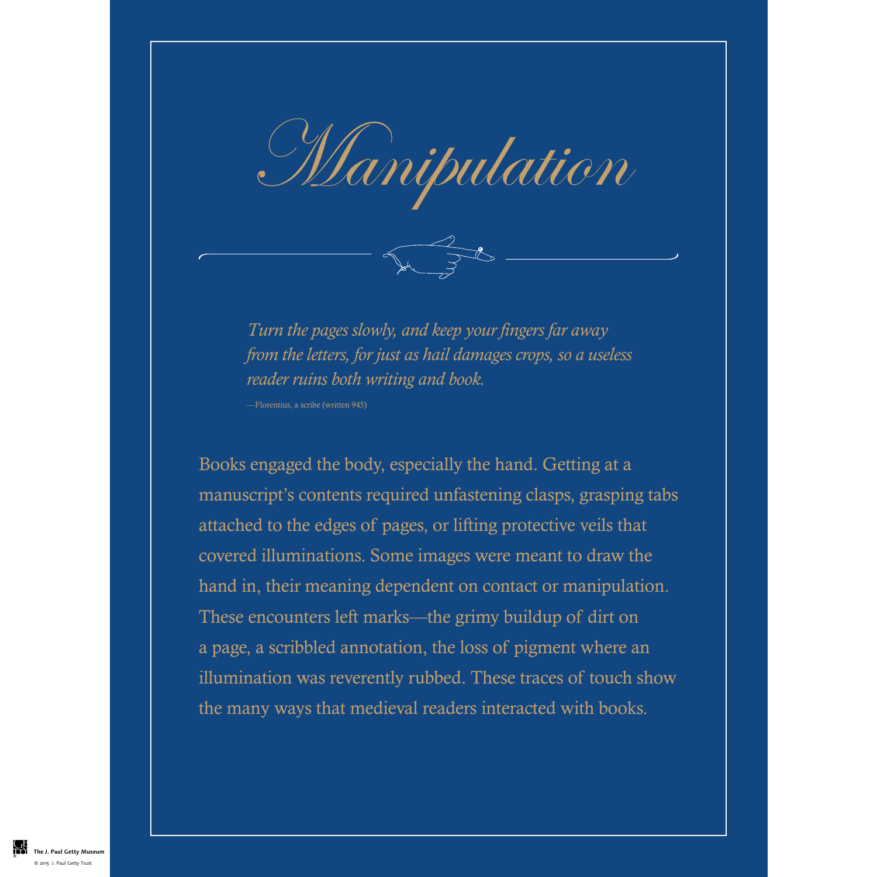Books engaged the body, especially the hand. Getting at a manuscript's contents required unfastening clasps, grasping tabs attached to the edges of pages, or lifting protective veils that covered illuminations. Some images were meant to draw the hand in, their meaning dependent on contact or manipulation. These encounters left marks—the grimy buildup of dirt on a page, a scribbled annotation, the loss of pigment where an illumination was reverently rubbed. These traces of touch show the many ways that medieval readers interacted with books.



## *reader ruins both writing and book.*

—Florentius, a scribe (written 945)

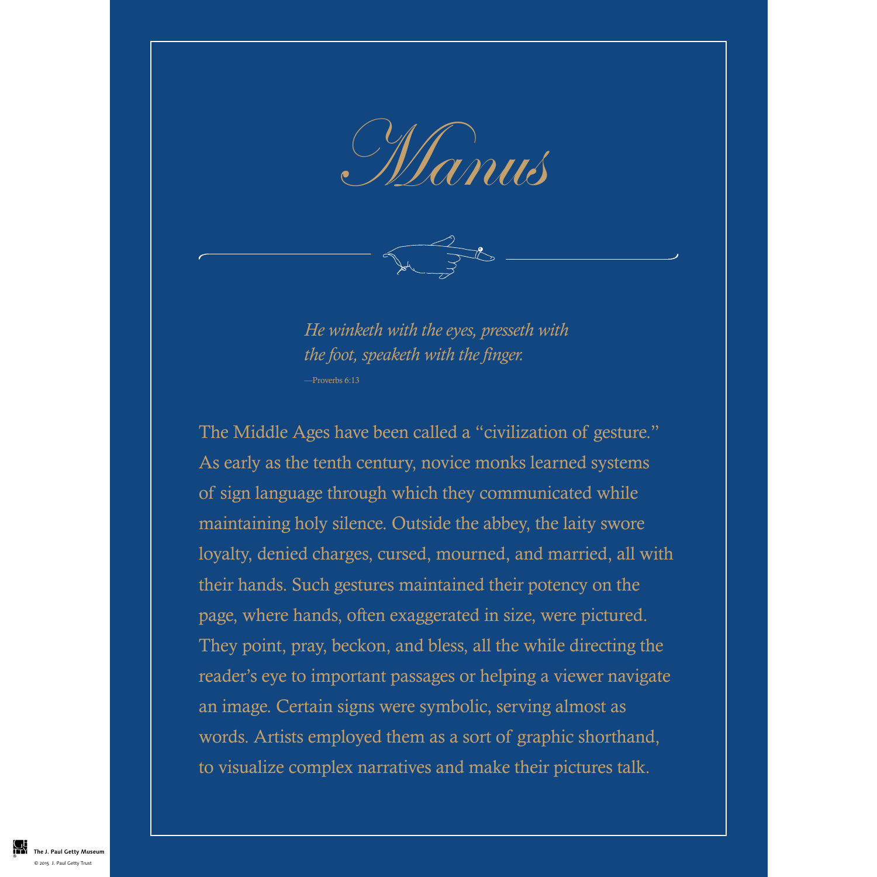The Middle Ages have been called a "civilization of gesture." As early as the tenth century, novice monks learned systems of sign language through which they communicated while maintaining holy silence. Outside the abbey, the laity swore loyalty, denied charges, cursed, mourned, and married, all with their hands. Such gestures maintained their potency on the page, where hands, often exaggerated in size, were pictured. They point, pray, beckon, and bless, all the while directing the reader's eye to important passages or helping a viewer navigate an image. Certain signs were symbolic, serving almost as





—Proverbs 6:13

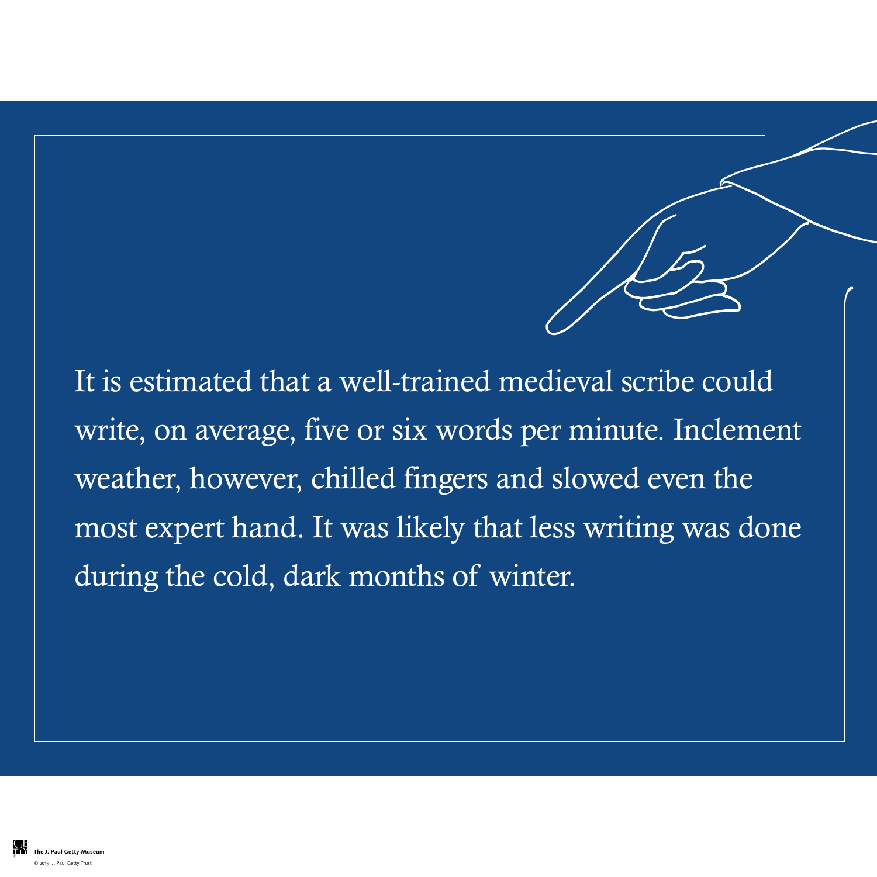

It is estimated that a well-trained medieval scribe could write, on average, five or six words per minute. Inclement weather, however, chilled fingers and slowed even the most expert hand. It was likely that less writing was done during the cold, dark months of winter.

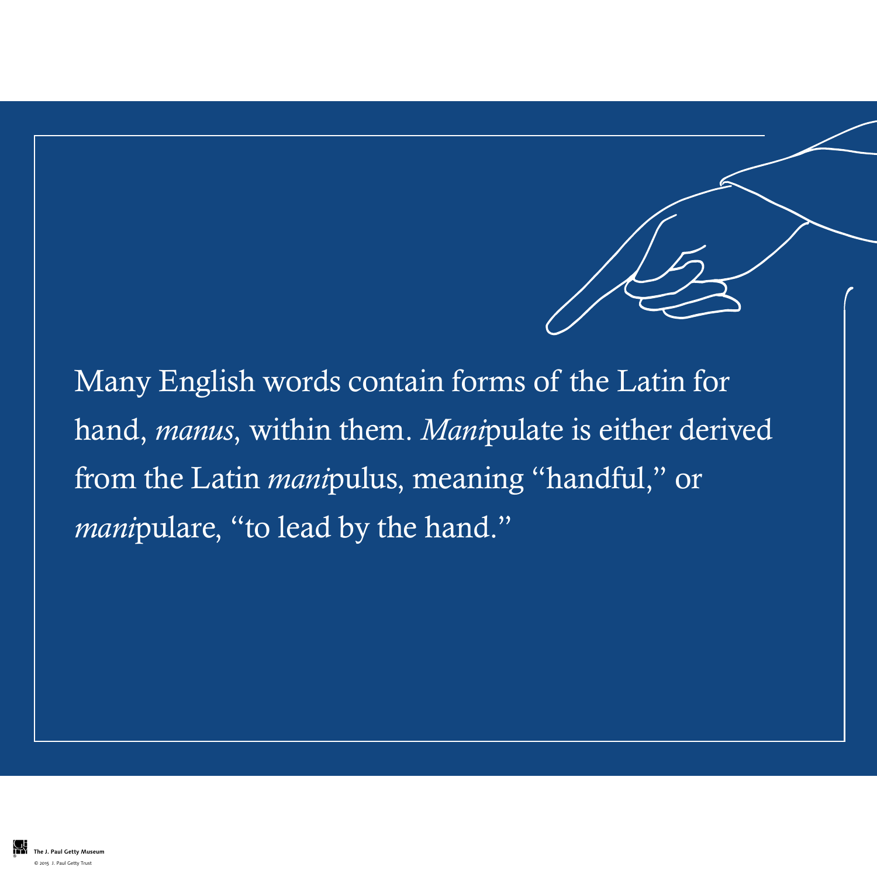

Many English words contain forms of the Latin for hand, *manus*, within them. *Mani*pulate is either derived from the Latin *mani*pulus, meaning "handful," or manipulare, "to lead by the hand."

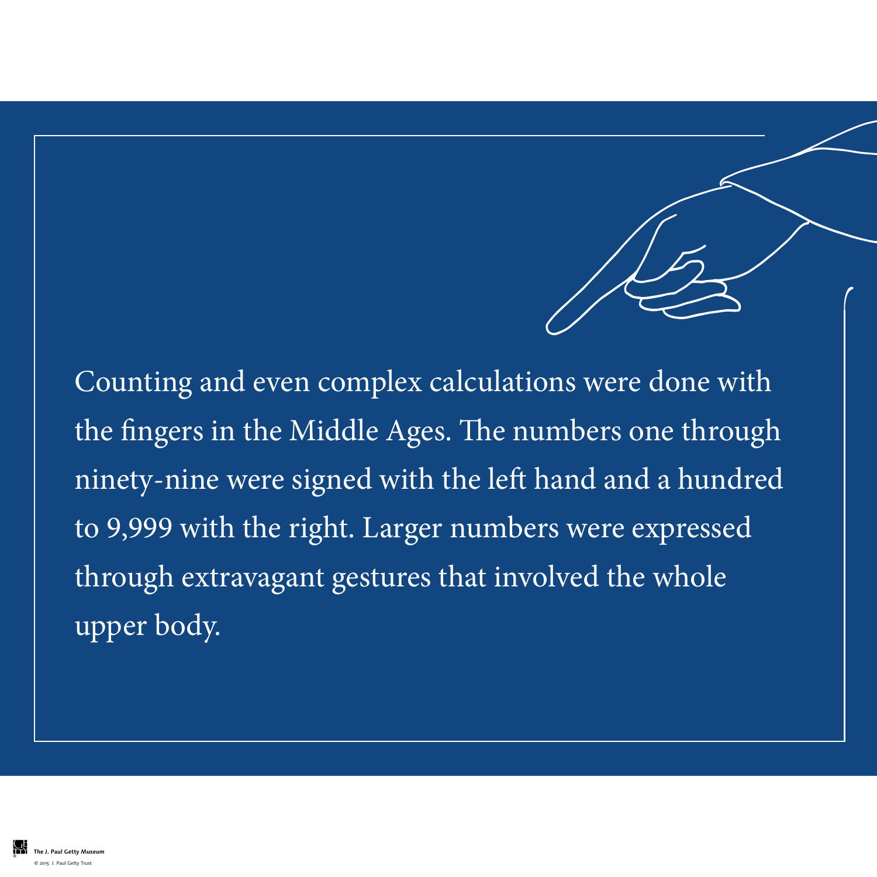

Counting and even complex calculations were done with the fingers in the Middle Ages. The numbers one through ninety-nine were signed with the left hand and a hundred to 9,999 with the right. Larger numbers were expressed through extravagant gestures that involved the whole upper body.